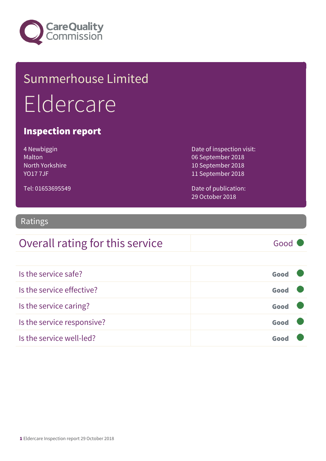

## Summerhouse Limited Eldercare

#### Inspection report

| 4 Newbiggin     |
|-----------------|
| Malton          |
| North Yorkshire |
| <b>YO177JF</b>  |

Tel: 01653695549

Date of inspection visit: 06 September 2018 10 September 2018 11 September 2018

Date of publication: 29 October 2018

#### Ratings

#### Overall rating for this service Fig. 600 Good

| Is the service safe?       | Good |  |
|----------------------------|------|--|
| Is the service effective?  | Good |  |
| Is the service caring?     | Good |  |
| Is the service responsive? | Good |  |
| Is the service well-led?   |      |  |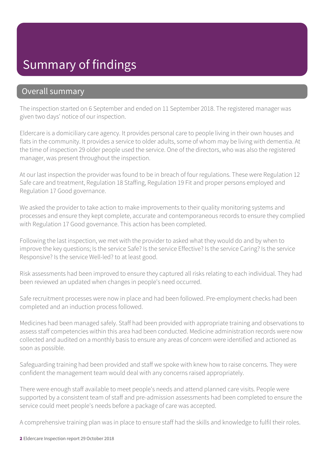#### Summary of findings

#### Overall summary

The inspection started on 6 September and ended on 11 September 2018. The registered manager was given two days' notice of our inspection.

Eldercare is a domiciliary care agency. It provides personal care to people living in their own houses and flats in the community. It provides a service to older adults, some of whom may be living with dementia. At the time of inspection 29 older people used the service. One of the directors, who was also the registered manager, was present throughout the inspection.

At our last inspection the provider was found to be in breach of four regulations. These were Regulation 12 Safe care and treatment, Regulation 18 Staffing, Regulation 19 Fit and proper persons employed and Regulation 17 Good governance.

We asked the provider to take action to make improvements to their quality monitoring systems and processes and ensure they kept complete, accurate and contemporaneous records to ensure they complied with Regulation 17 Good governance. This action has been completed.

Following the last inspection, we met with the provider to asked what they would do and by when to improve the key questions; Is the service Safe? Is the service Effective? Is the service Caring? Is the service Responsive? Is the service Well-led? to at least good.

Risk assessments had been improved to ensure they captured all risks relating to each individual. They had been reviewed an updated when changes in people's need occurred.

Safe recruitment processes were now in place and had been followed. Pre-employment checks had been completed and an induction process followed.

Medicines had been managed safely. Staff had been provided with appropriate training and observations to assess staff competencies within this area had been conducted. Medicine administration records were now collected and audited on a monthly basis to ensure any areas of concern were identified and actioned as soon as possible.

Safeguarding training had been provided and staff we spoke with knew how to raise concerns. They were confident the management team would deal with any concerns raised appropriately.

There were enough staff available to meet people's needs and attend planned care visits. People were supported by a consistent team of staff and pre-admission assessments had been completed to ensure the service could meet people's needs before a package of care was accepted.

A comprehensive training plan was in place to ensure staff had the skills and knowledge to fulfil their roles.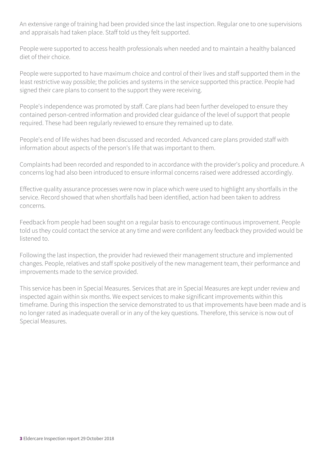An extensive range of training had been provided since the last inspection. Regular one to one supervisions and appraisals had taken place. Staff told us they felt supported.

People were supported to access health professionals when needed and to maintain a healthy balanced diet of their choice.

People were supported to have maximum choice and control of their lives and staff supported them in the least restrictive way possible; the policies and systems in the service supported this practice. People had signed their care plans to consent to the support they were receiving.

People's independence was promoted by staff. Care plans had been further developed to ensure they contained person-centred information and provided clear guidance of the level of support that people required. These had been regularly reviewed to ensure they remained up to date.

People's end of life wishes had been discussed and recorded. Advanced care plans provided staff with information about aspects of the person's life that was important to them.

Complaints had been recorded and responded to in accordance with the provider's policy and procedure. A concerns log had also been introduced to ensure informal concerns raised were addressed accordingly.

Effective quality assurance processes were now in place which were used to highlight any shortfalls in the service. Record showed that when shortfalls had been identified, action had been taken to address concerns.

Feedback from people had been sought on a regular basis to encourage continuous improvement. People told us they could contact the service at any time and were confident any feedback they provided would be listened to.

Following the last inspection, the provider had reviewed their management structure and implemented changes. People, relatives and staff spoke positively of the new management team, their performance and improvements made to the service provided.

This service has been in Special Measures. Services that are in Special Measures are kept under review and inspected again within six months. We expect services to make significant improvements within this timeframe. During this inspection the service demonstrated to us that improvements have been made and is no longer rated as inadequate overall or in any of the key questions. Therefore, this service is now out of Special Measures.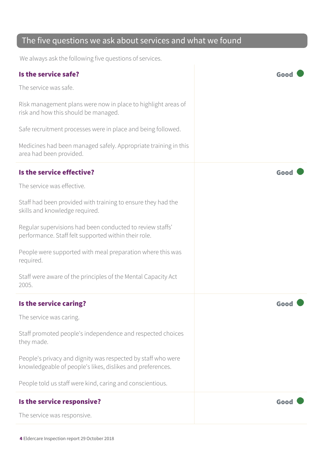#### The five questions we ask about services and what we found

We always ask the following five questions of services.

| Is the service safe?                                                                                                       | Goo  |
|----------------------------------------------------------------------------------------------------------------------------|------|
| The service was safe.                                                                                                      |      |
| Risk management plans were now in place to highlight areas of<br>risk and how this should be managed.                      |      |
| Safe recruitment processes were in place and being followed.                                                               |      |
| Medicines had been managed safely. Appropriate training in this<br>area had been provided.                                 |      |
| Is the service effective?                                                                                                  | Goo  |
| The service was effective.                                                                                                 |      |
| Staff had been provided with training to ensure they had the<br>skills and knowledge required.                             |      |
| Regular supervisions had been conducted to review staffs'<br>performance. Staff felt supported within their role.          |      |
| People were supported with meal preparation where this was<br>required.                                                    |      |
| Staff were aware of the principles of the Mental Capacity Act<br>2005.                                                     |      |
| Is the service caring?                                                                                                     | Goo  |
| The service was caring.                                                                                                    |      |
| Staff promoted people's independence and respected choices<br>they made.                                                   |      |
| People's privacy and dignity was respected by staff who were<br>knowledgeable of people's likes, dislikes and preferences. |      |
| People told us staff were kind, caring and conscientious.                                                                  |      |
| Is the service responsive?                                                                                                 | Good |
| The service was responsive.                                                                                                |      |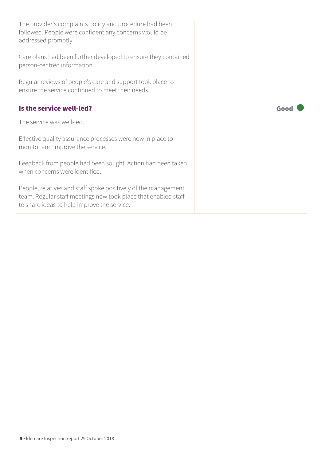| The provider's complaints policy and procedure had been<br>followed. People were confident any concerns would be<br>addressed promptly.                                         |      |
|---------------------------------------------------------------------------------------------------------------------------------------------------------------------------------|------|
| Care plans had been further developed to ensure they contained<br>person-centred information.                                                                                   |      |
| Regular reviews of people's care and support took place to<br>ensure the service continued to meet their needs.                                                                 |      |
| Is the service well-led?                                                                                                                                                        | Good |
| The service was well-led.                                                                                                                                                       |      |
| Effective quality assurance processes were now in place to<br>monitor and improve the service.                                                                                  |      |
| Feedback from people had been sought. Action had been taken<br>when concerns were identified.                                                                                   |      |
| People, relatives and staff spoke positively of the management<br>team. Regular staff meetings now took place that enabled staff<br>to share ideas to help improve the service. |      |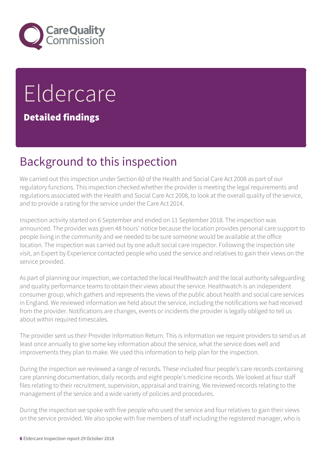

# **Eldercare**

Detailed findings

## Background to this inspection

We carried out this inspection under Section 60 of the Health and Social Care Act 2008 as part of our regulatory functions. This inspection checked whether the provider is meeting the legal requirements and regulations associated with the Health and Social Care Act 2008, to look at the overall quality of the service, and to provide a rating for the service under the Care Act 2014.

Inspection activity started on 6 September and ended on 11 September 2018. The inspection was announced. The provider was given 48 hours' notice because the location provides personal care support to people living in the community and we needed to be sure someone would be available at the office location. The inspection was carried out by one adult social care inspector. Following the inspection site visit, an Expert by Experience contacted people who used the service and relatives to gain their views on the service provided.

As part of planning our inspection, we contacted the local Healthwatch and the local authority safeguarding and quality performance teams to obtain their views about the service. Healthwatch is an independent consumer group, which gathers and represents the views of the public about health and social care services in England. We reviewed information we held about the service, including the notifications we had received from the provider. Notifications are changes, events or incidents the provider is legally obliged to tell us about within required timescales.

The provider sent us their Provider Information Return. This is information we require providers to send us at least once annually to give some key information about the service, what the service does well and improvements they plan to make. We used this information to help plan for the inspection.

During the inspection we reviewed a range of records. These included four people's care records containing care planning documentation, daily records and eight people's medicine records. We looked at four staff files relating to their recruitment, supervision, appraisal and training. We reviewed records relating to the management of the service and a wide variety of policies and procedures.

During the inspection we spoke with five people who used the service and four relatives to gain their views on the service provided. We also spoke with five members of staff including the registered manager, who is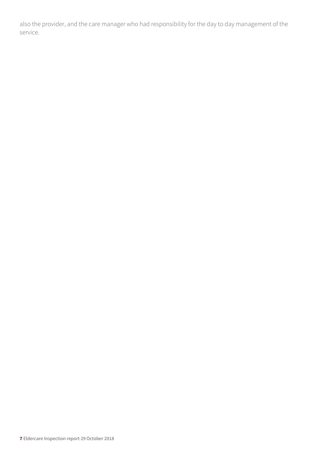also the provider, and the care manager who had responsibility for the day to day management of the service.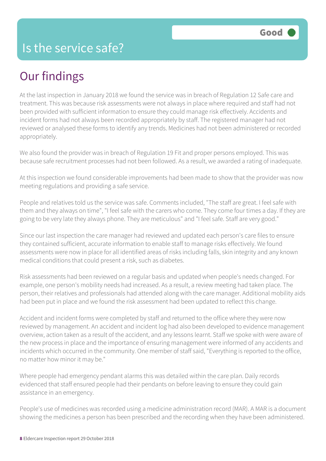## Our findings

At the last inspection in January 2018 we found the service was in breach of Regulation 12 Safe care and treatment. This was because risk assessments were not always in place where required and staff had not been provided with sufficient information to ensure they could manage risk effectively. Accidents and incident forms had not always been recorded appropriately by staff. The registered manager had not reviewed or analysed these forms to identify any trends. Medicines had not been administered or recorded appropriately.

We also found the provider was in breach of Regulation 19 Fit and proper persons employed. This was because safe recruitment processes had not been followed. As a result, we awarded a rating of inadequate.

At this inspection we found considerable improvements had been made to show that the provider was now meeting regulations and providing a safe service.

People and relatives told us the service was safe. Comments included, "The staff are great. I feel safe with them and they always on time", "I feel safe with the carers who come. They come four times a day. If they are going to be very late they always phone. They are meticulous" and "I feel safe. Staff are very good."

Since our last inspection the care manager had reviewed and updated each person's care files to ensure they contained sufficient, accurate information to enable staff to manage risks effectively. We found assessments were now in place for all identified areas of risks including falls, skin integrity and any known medical conditions that could present a risk, such as diabetes.

Risk assessments had been reviewed on a regular basis and updated when people's needs changed. For example, one person's mobility needs had increased. As a result, a review meeting had taken place. The person, their relatives and professionals had attended along with the care manager. Additional mobility aids had been put in place and we found the risk assessment had been updated to reflect this change.

Accident and incident forms were completed by staff and returned to the office where they were now reviewed by management. An accident and incident log had also been developed to evidence management overview, action taken as a result of the accident, and any lessons learnt. Staff we spoke with were aware of the new process in place and the importance of ensuring management were informed of any accidents and incidents which occurred in the community. One member of staff said, "Everything is reported to the office, no matter how minor it may be."

Where people had emergency pendant alarms this was detailed within the care plan. Daily records evidenced that staff ensured people had their pendants on before leaving to ensure they could gain assistance in an emergency.

People's use of medicines was recorded using a medicine administration record (MAR). A MAR is a document showing the medicines a person has been prescribed and the recording when they have been administered.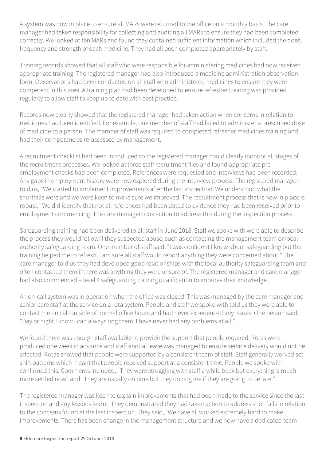A system was now in place to ensure all MARs were returned to the office on a monthly basis. The care manager had taken responsibility for collecting and auditing all MARs to ensure they had been completed correctly. We looked at ten MARs and found they contained sufficient information which included the dose, frequency and strength of each medicine. They had all been completed appropriately by staff.

Training records showed that all staff who were responsible for administering medicines had now received appropriate training. The registered manager had also introduced a medicine administration observation form. Observations had been conducted on all staff who administered medicines to ensure they were competent in this area. A training plan had been developed to ensure refresher training was provided regularly to allow staff to keep up to date with best practice.

Records now clearly showed that the registered manager had taken action when concerns in relation to medicines had been identified. For example, one member of staff had failed to administer a prescribed dose of medicine to a person. The member of staff was required to completed refresher medicines training and had their competencies re-assessed by management.

A recruitment checklist had been introduced so the registered manager could clearly monitor all stages of the recruitment processes. We looked at three staff recruitment files and found appropriate preemployment checks had been completed. References were requested and interviews had been recorded. Any gaps in employment history were now explored during the interview process. The registered manager told us, "We started to implement improvements after the last inspection. We understood what the shortfalls were and we were keen to make sure we improved. The recruitment process that is now in place is robust." We did identify that not all references had been dated to evidence they had been received prior to employment commencing. The care manager took action to address this during the inspection process.

Safeguarding training had been delivered to all staff in June 2018. Staff we spoke with were able to describe the process they would follow if they suspected abuse, such as contacting the management team or local authority safeguarding team. One member of staff said, "I was confident I knew about safeguarding but the training helped me to refresh. I am sure all staff would report anything they were concerned about." The care manager told us they had developed good relationships with the local authority safeguarding team and often contacted them if there was anything they were unsure of. The registered manager and care manager had also commenced a level 4 safeguarding training qualification to improve their knowledge.

An on-call system was in operation when the office was closed. This was managed by the care manager and senior care staff at the service on a rota system. People and staff we spoke with told us they were able to contact the on call outside of normal office hours and had never experienced any issues. One person said, "Day or night I know I can always ring them. I have never had any problems at all."

We found there was enough staff available to provide the support that people required. Rotas were produced one week in advance and staff annual leave was managed to ensure service delivery would not be affected. Rotas showed that people were supported by a consistent team of staff. Staff generally worked set shift patterns which meant that people received support at a consistent time. People we spoke with confirmed this. Comments included, "They were struggling with staff a while back but everything is much more settled now" and "They are usually on time but they do ring me if they are going to be late."

The registered manager was keen to explain improvements that had been made to the service since the last inspection and any lessons learnt. They demonstrated they had taken action to address shortfalls in relation to the concerns found at the last inspection. They said, "We have all worked extremely hard to make improvements. There has been change in the management structure and we now have a dedicated team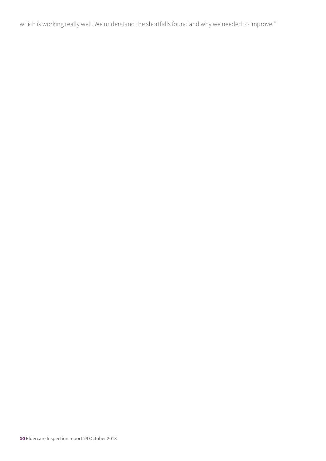which is working really well. We understand the shortfalls found and why we needed to improve."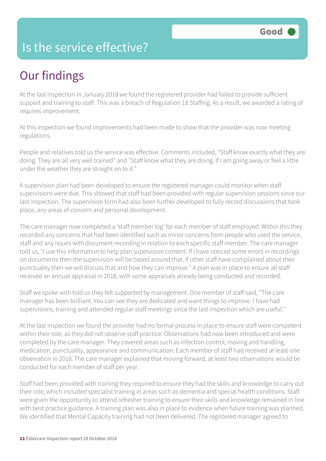#### Is the service effective?

## Our findings

At the last inspection in January 2018 we found the registered provider had failed to provide sufficient support and training to staff. This was a breach of Regulation 18 Staffing. As a result, we awarded a rating of requires improvement.

At this inspection we found improvements had been made to show that the provider was now meeting regulations.

People and relatives told us the service was effective. Comments included, "Staff know exactly what they are doing. They are all very well trained" and "Staff know what they are doing. If I am going away or feel a little under the weather they are straight on to it."

A supervision plan had been developed to ensure the registered manager could monitor when staff supervisions were due. This showed that staff had been provided with regular supervision sessions since our last inspection. The supervision form had also been further developed to fully record discussions that took place, any areas of concern and personal development.

The care manager now completed a 'staff member log' for each member of staff employed. Within this they recorded any concerns that had been identified such as minor concerns from people who used the service, staff and any issues with document recording in relation to each specific staff member. The care manager told us, "I use this information to help plan supervision content. If I have noticed some errors in recordings on documents then the supervision will be based around that. If other staff have complained about their punctuality then we will discuss that and how they can improve." A plan was in place to ensure all staff received an annual appraisal in 2018, with some appraisals already being conducted and recorded.

Staff we spoke with told us they felt supported by management. One member of staff said, "The care manager has been brilliant. You can see they are dedicated and want things to improve. I have had supervisions, training and attended regular staff meetings since the last inspection which are useful."

At the last inspection we found the provider had no formal process in place to ensure staff were competent within their role, as they did not observe staff practice. Observations had now been introduced and were completed by the care manager. They covered areas such as infection control, moving and handling, medication, punctuality, appearance and communication. Each member of staff had received at least one observation in 2018. The care manager explained that moving forward, at least two observations would be conducted for each member of staff per year.

Staff had been provided with training they required to ensure they had the skills and knowledge to carry out their role, which included specialist training in areas such as dementia and special health conditions. Staff were given the opportunity to attend refresher training to ensure their skills and knowledge remained in line with best practice guidance. A training plan was also in place to evidence when future training was planned. We identified that Mental Capacity training had not been delivered. The registered manager agreed to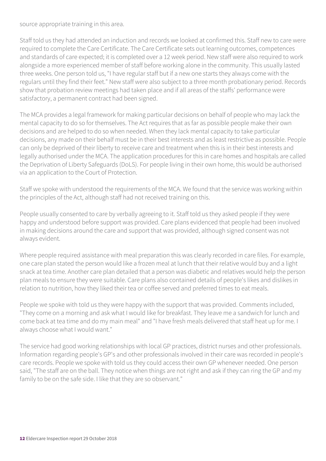source appropriate training in this area.

Staff told us they had attended an induction and records we looked at confirmed this. Staff new to care were required to complete the Care Certificate. The Care Certificate sets out learning outcomes, competences and standards of care expected; it is completed over a 12 week period. New staff were also required to work alongside a more experienced member of staff before working alone in the community. This usually lasted three weeks. One person told us, "I have regular staff but if a new one starts they always come with the regulars until they find their feet." New staff were also subject to a three month probationary period. Records show that probation review meetings had taken place and if all areas of the staffs' performance were satisfactory, a permanent contract had been signed.

The MCA provides a legal framework for making particular decisions on behalf of people who may lack the mental capacity to do so for themselves. The Act requires that as far as possible people make their own decisions and are helped to do so when needed. When they lack mental capacity to take particular decisions, any made on their behalf must be in their best interests and as least restrictive as possible. People can only be deprived of their liberty to receive care and treatment when this is in their best interests and legally authorised under the MCA. The application procedures for this in care homes and hospitals are called the Deprivation of Liberty Safeguards (DoLS). For people living in their own home, this would be authorised via an application to the Court of Protection.

Staff we spoke with understood the requirements of the MCA. We found that the service was working within the principles of the Act, although staff had not received training on this.

People usually consented to care by verbally agreeing to it. Staff told us they asked people if they were happy and understood before support was provided. Care plans evidenced that people had been involved in making decisions around the care and support that was provided, although signed consent was not always evident.

Where people required assistance with meal preparation this was clearly recorded in care files. For example, one care plan stated the person would like a frozen meal at lunch that their relative would buy and a light snack at tea time. Another care plan detailed that a person was diabetic and relatives would help the person plan meals to ensure they were suitable. Care plans also contained details of people's likes and dislikes in relation to nutrition, how they liked their tea or coffee served and preferred times to eat meals.

People we spoke with told us they were happy with the support that was provided. Comments included, "They come on a morning and ask what I would like for breakfast. They leave me a sandwich for lunch and come back at tea time and do my main meal" and "I have fresh meals delivered that staff heat up for me. I always choose what I would want."

The service had good working relationships with local GP practices, district nurses and other professionals. Information regarding people's GP's and other professionals involved in their care was recorded in people's care records. People we spoke with told us they could access their own GP whenever needed. One person said, "The staff are on the ball. They notice when things are not right and ask if they can ring the GP and my family to be on the safe side. I like that they are so observant."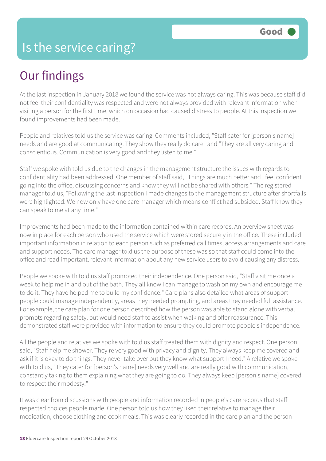## Our findings

At the last inspection in January 2018 we found the service was not always caring. This was because staff did not feel their confidentiality was respected and were not always provided with relevant information when visiting a person for the first time, which on occasion had caused distress to people. At this inspection we found improvements had been made.

People and relatives told us the service was caring. Comments included, "Staff cater for [person's name] needs and are good at communicating. They show they really do care" and "They are all very caring and conscientious. Communication is very good and they listen to me."

Staff we spoke with told us due to the changes in the management structure the issues with regards to confidentiality had been addressed. One member of staff said, "Things are much better and I feel confident going into the office, discussing concerns and know they will not be shared with others." The registered manager told us, "Following the last inspection I made changes to the management structure after shortfalls were highlighted. We now only have one care manager which means conflict had subsided. Staff know they can speak to me at any time."

Improvements had been made to the information contained within care records. An overview sheet was now in place for each person who used the service which were stored securely in the office. These included important information in relation to each person such as preferred call times, access arrangements and care and support needs. The care manager told us the purpose of these was so that staff could come into the office and read important, relevant information about any new service users to avoid causing any distress.

People we spoke with told us staff promoted their independence. One person said, "Staff visit me once a week to help me in and out of the bath. They all know I can manage to wash on my own and encourage me to do it. They have helped me to build my confidence." Care plans also detailed what areas of support people could manage independently, areas they needed prompting, and areas they needed full assistance. For example, the care plan for one person described how the person was able to stand alone with verbal prompts regarding safety, but would need staff to assist when walking and offer reassurance. This demonstrated staff were provided with information to ensure they could promote people's independence.

All the people and relatives we spoke with told us staff treated them with dignity and respect. One person said, "Staff help me shower. They're very good with privacy and dignity. They always keep me covered and ask if it is okay to do things. They never take over but they know what support I need." A relative we spoke with told us, "They cater for [person's name] needs very well and are really good with communication, constantly taking to them explaining what they are going to do. They always keep [person's name] covered to respect their modesty."

It was clear from discussions with people and information recorded in people's care records that staff respected choices people made. One person told us how they liked their relative to manage their medication, choose clothing and cook meals. This was clearly recorded in the care plan and the person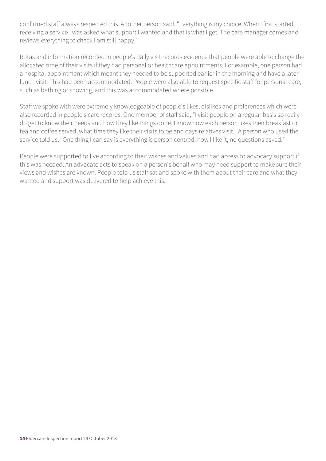confirmed staff always respected this. Another person said, "Everything is my choice. When I first started receiving a service I was asked what support I wanted and that is what I get. The care manager comes and reviews everything to check I am still happy."

Rotas and information recorded in people's daily visit records evidence that people were able to change the allocated time of their visits if they had personal or healthcare appointments. For example, one person had a hospital appointment which meant they needed to be supported earlier in the morning and have a later lunch visit. This had been accommodated. People were also able to request specific staff for personal care, such as bathing or showing, and this was accommodated where possible.

Staff we spoke with were extremely knowledgeable of people's likes, dislikes and preferences which were also recorded in people's care records. One member of staff said, "I visit people on a regular basis so really do get to know their needs and how they like things done. I know how each person likes their breakfast or tea and coffee served, what time they like their visits to be and days relatives visit." A person who used the service told us, "One thing I can say is everything is person centred, how I like it, no questions asked."

People were supported to live according to their wishes and values and had access to advocacy support if this was needed. An advocate acts to speak on a person's behalf who may need support to make sure their views and wishes are known. People told us staff sat and spoke with them about their care and what they wanted and support was delivered to help achieve this.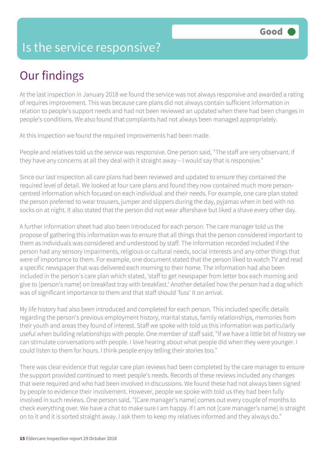#### Is the service responsive?

## Our findings

At the last inspection in January 2018 we found the service was not always responsive and awarded a rating of requires improvement. This was because care plans did not always contain sufficient information in relation to people's support needs and had not been reviewed an updated when there had been changes in people's conditions. We also found that complaints had not always been managed appropriately.

At this inspection we found the required improvements had been made.

People and relatives told us the service was responsive. One person said, "The staff are very observant. If they have any concerns at all they deal with it straight away – I would say that is responsive."

Since our last inspection all care plans had been reviewed and updated to ensure they contained the required level of detail. We looked at four care plans and found they now contained much more personcentred information which focused on each individual and their needs. For example, one care plan stated the person preferred to wear trousers, jumper and slippers during the day, pyjamas when in bed with no socks on at night. It also stated that the person did not wear aftershave but liked a shave every other day.

A further information sheet had also been introduced for each person. The care manager told us the propose of gathering this information was to ensure that all things that the person considered important to them as individuals was considered and understood by staff. The information recorded included if the person had any sensory impairments, religious or cultural needs, social interests and any other things that were of importance to them. For example, one document stated that the person liked to watch TV and read a specific newspaper that was delivered each morning to their home. The information had also been included in the person's care plan which stated, 'staff to get newspaper from letter box each morning and give to [person's name] on breakfast tray with breakfast.' Another detailed how the person had a dog which was of significant importance to them and that staff should 'fuss' it on arrival.

My life history had also been introduced and completed for each person. This included specific details regarding the person's previous employment history, marital status, family relationships, memories from their youth and areas they found of interest. Staff we spoke with told us this information was particularly useful when building relationships with people. One member of staff said, "If we have a little bit of history we can stimulate conversations with people. I love hearing about what people did when they were younger. I could listen to them for hours. I think people enjoy telling their stories too."

There was clear evidence that regular care plan reviews had been completed by the care manager to ensure the support provided continued to meet people's needs. Records of these reviews included any changes that were required and who had been involved in discussions. We found these had not always been signed by people to evidence their involvement. However, people we spoke with told us they had been fully involved in such reviews. One person said, "[Care manager's name] comes out every couple of months to check everything over. We have a chat to make sure I am happy. If I am not [care manager's name] is straight on to it and it is sorted straight away. I ask them to keep my relatives informed and they always do."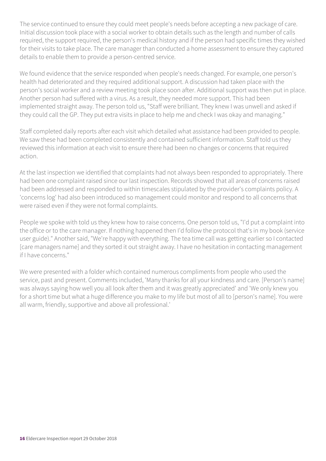The service continued to ensure they could meet people's needs before accepting a new package of care. Initial discussion took place with a social worker to obtain details such as the length and number of calls required, the support required, the person's medical history and if the person had specific times they wished for their visits to take place. The care manager than conducted a home assessment to ensure they captured details to enable them to provide a person-centred service.

We found evidence that the service responded when people's needs changed. For example, one person's health had deteriorated and they required additional support. A discussion had taken place with the person's social worker and a review meeting took place soon after. Additional support was then put in place. Another person had suffered with a virus. As a result, they needed more support. This had been implemented straight away. The person told us, "Staff were brilliant. They knew I was unwell and asked if they could call the GP. They put extra visits in place to help me and check I was okay and managing."

Staff completed daily reports after each visit which detailed what assistance had been provided to people. We saw these had been completed consistently and contained sufficient information. Staff told us they reviewed this information at each visit to ensure there had been no changes or concerns that required action.

At the last inspection we identified that complaints had not always been responded to appropriately. There had been one complaint raised since our last inspection. Records showed that all areas of concerns raised had been addressed and responded to within timescales stipulated by the provider's complaints policy. A 'concerns log' had also been introduced so management could monitor and respond to all concerns that were raised even if they were not formal complaints.

People we spoke with told us they knew how to raise concerns. One person told us, "I'd put a complaint into the office or to the care manager. If nothing happened then I'd follow the protocol that's in my book (service user guide)." Another said, "We're happy with everything. The tea time call was getting earlier so I contacted [care managers name] and they sorted it out straight away. I have no hesitation in contacting management if I have concerns."

We were presented with a folder which contained numerous compliments from people who used the service, past and present. Comments included, 'Many thanks for all your kindness and care. [Person's name] was always saying how well you all look after them and it was greatly appreciated' and 'We only knew you for a short time but what a huge difference you make to my life but most of all to [person's name]. You were all warm, friendly, supportive and above all professional.'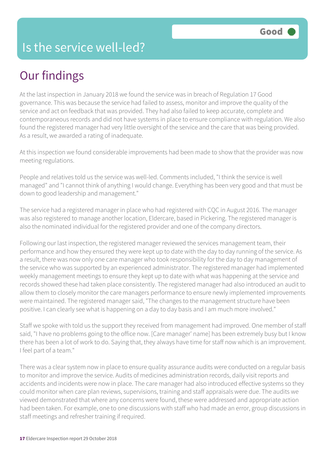#### Is the service well-led?

### Our findings

At the last inspection in January 2018 we found the service was in breach of Regulation 17 Good governance. This was because the service had failed to assess, monitor and improve the quality of the service and act on feedback that was provided. They had also failed to keep accurate, complete and contemporaneous records and did not have systems in place to ensure compliance with regulation. We also found the registered manager had very little oversight of the service and the care that was being provided. As a result, we awarded a rating of inadequate.

At this inspection we found considerable improvements had been made to show that the provider was now meeting regulations.

People and relatives told us the service was well-led. Comments included, "I think the service is well managed" and "I cannot think of anything I would change. Everything has been very good and that must be down to good leadership and management."

The service had a registered manager in place who had registered with CQC in August 2016. The manager was also registered to manage another location, Eldercare, based in Pickering. The registered manager is also the nominated individual for the registered provider and one of the company directors.

Following our last inspection, the registered manager reviewed the services management team, their performance and how they ensured they were kept up to date with the day to day running of the service. As a result, there was now only one care manager who took responsibility for the day to day management of the service who was supported by an experienced administrator. The registered manager had implemented weekly management meetings to ensure they kept up to date with what was happening at the service and records showed these had taken place consistently. The registered manager had also introduced an audit to allow them to closely monitor the care managers performance to ensure newly implemented improvements were maintained. The registered manager said, "The changes to the management structure have been positive. I can clearly see what is happening on a day to day basis and I am much more involved."

Staff we spoke with told us the support they received from management had improved. One member of staff said, "I have no problems going to the office now. [Care manager' name] has been extremely busy but I know there has been a lot of work to do. Saying that, they always have time for staff now which is an improvement. I feel part of a team."

There was a clear system now in place to ensure quality assurance audits were conducted on a regular basis to monitor and improve the service. Audits of medicines administration records, daily visit reports and accidents and incidents were now in place. The care manager had also introduced effective systems so they could monitor when care plan reviews, supervisions, training and staff appraisals were due. The audits we viewed demonstrated that where any concerns were found, these were addressed and appropriate action had been taken. For example, one to one discussions with staff who had made an error, group discussions in staff meetings and refresher training if required.